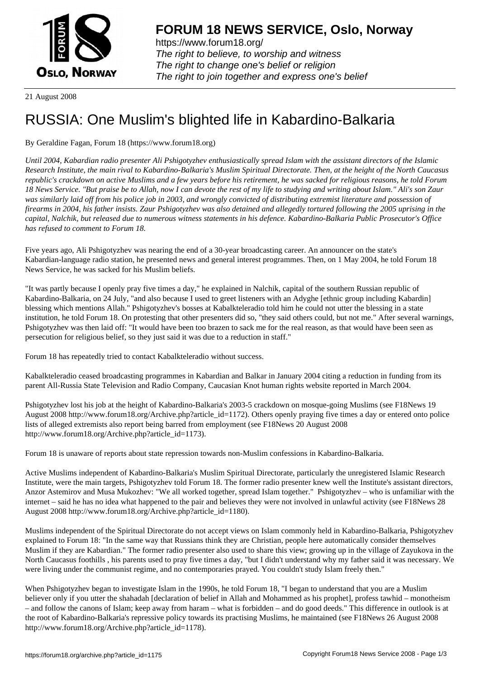

https://www.forum18.org/ The right to believe, to worship and witness The right to change one's belief or religion [The right to join together a](https://www.forum18.org/)nd express one's belief

21 August 2008

## [RUSSIA: One M](https://www.forum18.org)uslim's blighted life in Kabardino-Balkaria

## By Geraldine Fagan, Forum 18 (https://www.forum18.org)

*Until 2004, Kabardian radio presenter Ali Pshigotyzhev enthusiastically spread Islam with the assistant directors of the Islamic Research Institute, the main rival to Kabardino-Balkaria's Muslim Spiritual Directorate. Then, at the height of the North Caucasus republic's crackdown on active Muslims and a few years before his retirement, he was sacked for religious reasons, he told Forum 18 News Service. "But praise be to Allah, now I can devote the rest of my life to studying and writing about Islam." Ali's son Zaur was similarly laid off from his police job in 2003, and wrongly convicted of distributing extremist literature and possession of firearms in 2004, his father insists. Zaur Pshigotyzhev was also detained and allegedly tortured following the 2005 uprising in the capital, Nalchik, but released due to numerous witness statements in his defence. Kabardino-Balkaria Public Prosecutor's Office has refused to comment to Forum 18.*

Five years ago, Ali Pshigotyzhev was nearing the end of a 30-year broadcasting career. An announcer on the state's Kabardian-language radio station, he presented news and general interest programmes. Then, on 1 May 2004, he told Forum 18 News Service, he was sacked for his Muslim beliefs.

"It was partly because I openly pray five times a day," he explained in Nalchik, capital of the southern Russian republic of Kabardino-Balkaria, on 24 July, "and also because I used to greet listeners with an Adyghe [ethnic group including Kabardin] blessing which mentions Allah." Pshigotyzhev's bosses at Kabalkteleradio told him he could not utter the blessing in a state institution, he told Forum 18. On protesting that other presenters did so, "they said others could, but not me." After several warnings, Pshigotyzhev was then laid off: "It would have been too brazen to sack me for the real reason, as that would have been seen as persecution for religious belief, so they just said it was due to a reduction in staff."

Forum 18 has repeatedly tried to contact Kabalkteleradio without success.

Kabalkteleradio ceased broadcasting programmes in Kabardian and Balkar in January 2004 citing a reduction in funding from its parent All-Russia State Television and Radio Company, Caucasian Knot human rights website reported in March 2004.

Pshigotyzhev lost his job at the height of Kabardino-Balkaria's 2003-5 crackdown on mosque-going Muslims (see F18News 19 August 2008 http://www.forum18.org/Archive.php?article\_id=1172). Others openly praying five times a day or entered onto police lists of alleged extremists also report being barred from employment (see F18News 20 August 2008 http://www.forum18.org/Archive.php?article\_id=1173).

Forum 18 is unaware of reports about state repression towards non-Muslim confessions in Kabardino-Balkaria.

Active Muslims independent of Kabardino-Balkaria's Muslim Spiritual Directorate, particularly the unregistered Islamic Research Institute, were the main targets, Pshigotyzhev told Forum 18. The former radio presenter knew well the Institute's assistant directors, Anzor Astemirov and Musa Mukozhev: "We all worked together, spread Islam together." Pshigotyzhev – who is unfamiliar with the internet – said he has no idea what happened to the pair and believes they were not involved in unlawful activity (see F18News 28 August 2008 http://www.forum18.org/Archive.php?article\_id=1180).

Muslims independent of the Spiritual Directorate do not accept views on Islam commonly held in Kabardino-Balkaria, Pshigotyzhev explained to Forum 18: "In the same way that Russians think they are Christian, people here automatically consider themselves Muslim if they are Kabardian." The former radio presenter also used to share this view; growing up in the village of Zayukova in the North Caucasus foothills , his parents used to pray five times a day, "but I didn't understand why my father said it was necessary. We were living under the communist regime, and no contemporaries prayed. You couldn't study Islam freely then."

When Pshigotyzhev began to investigate Islam in the 1990s, he told Forum 18, "I began to understand that you are a Muslim believer only if you utter the shahadah [declaration of belief in Allah and Mohammed as his prophet], profess tawhid – monotheism – and follow the canons of Islam; keep away from haram – what is forbidden – and do good deeds." This difference in outlook is at the root of Kabardino-Balkaria's repressive policy towards its practising Muslims, he maintained (see F18News 26 August 2008 http://www.forum18.org/Archive.php?article\_id=1178).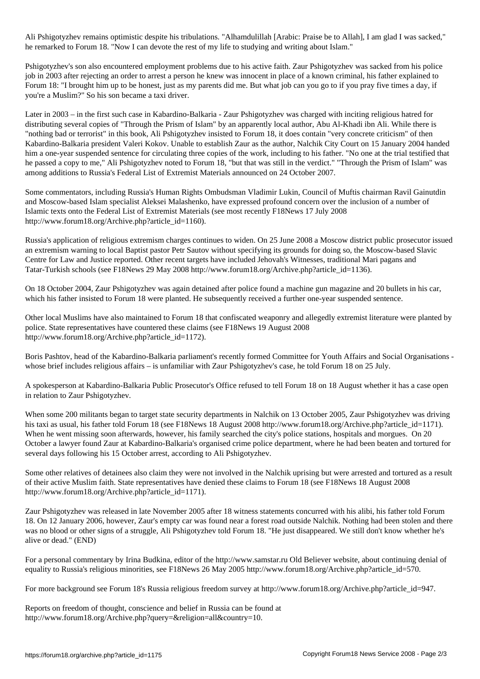Ali Pshigotyzhev remains optimistic despite his tribulations. "Alhamdulillah [Arabic: Praise be to Allah], I am glad I was sacked," he remarked to Forum 18. "Now I can devote the rest of my life to studying and writing about Islam."

Pshigotyzhev's son also encountered employment problems due to his active faith. Zaur Pshigotyzhev was sacked from his police job in 2003 after rejecting an order to arrest a person he knew was innocent in place of a known criminal, his father explained to Forum 18: "I brought him up to be honest, just as my parents did me. But what job can you go to if you pray five times a day, if you're a Muslim?" So his son became a taxi driver.

Later in 2003 – in the first such case in Kabardino-Balkaria - Zaur Pshigotyzhev was charged with inciting religious hatred for distributing several copies of "Through the Prism of Islam" by an apparently local author, Abu Al-Khadi ibn Ali. While there is "nothing bad or terrorist" in this book, Ali Pshigotyzhev insisted to Forum 18, it does contain "very concrete criticism" of then Kabardino-Balkaria president Valeri Kokov. Unable to establish Zaur as the author, Nalchik City Court on 15 January 2004 handed him a one-year suspended sentence for circulating three copies of the work, including to his father. "No one at the trial testified that he passed a copy to me," Ali Pshigotyzhev noted to Forum 18, "but that was still in the verdict." "Through the Prism of Islam" was among additions to Russia's Federal List of Extremist Materials announced on 24 October 2007.

Some commentators, including Russia's Human Rights Ombudsman Vladimir Lukin, Council of Muftis chairman Ravil Gainutdin and Moscow-based Islam specialist Aleksei Malashenko, have expressed profound concern over the inclusion of a number of Islamic texts onto the Federal List of Extremist Materials (see most recently F18News 17 July 2008 http://www.forum18.org/Archive.php?article\_id=1160).

Russia's application of religious extremism charges continues to widen. On 25 June 2008 a Moscow district public prosecutor issued an extremism warning to local Baptist pastor Petr Sautov without specifying its grounds for doing so, the Moscow-based Slavic Centre for Law and Justice reported. Other recent targets have included Jehovah's Witnesses, traditional Mari pagans and Tatar-Turkish schools (see F18News 29 May 2008 http://www.forum18.org/Archive.php?article\_id=1136).

On 18 October 2004, Zaur Pshigotyzhev was again detained after police found a machine gun magazine and 20 bullets in his car, which his father insisted to Forum 18 were planted. He subsequently received a further one-year suspended sentence.

Other local Muslims have also maintained to Forum 18 that confiscated weaponry and allegedly extremist literature were planted by police. State representatives have countered these claims (see F18News 19 August 2008 http://www.forum18.org/Archive.php?article\_id=1172).

Boris Pashtov, head of the Kabardino-Balkaria parliament's recently formed Committee for Youth Affairs and Social Organisations whose brief includes religious affairs – is unfamiliar with Zaur Pshigotyzhev's case, he told Forum 18 on 25 July.

A spokesperson at Kabardino-Balkaria Public Prosecutor's Office refused to tell Forum 18 on 18 August whether it has a case open in relation to Zaur Pshigotyzhev.

When some 200 militants began to target state security departments in Nalchik on 13 October 2005, Zaur Pshigotyzhev was driving his taxi as usual, his father told Forum 18 (see F18News 18 August 2008 http://www.forum18.org/Archive.php?article\_id=1171). When he went missing soon afterwards, however, his family searched the city's police stations, hospitals and morgues. On 20 October a lawyer found Zaur at Kabardino-Balkaria's organised crime police department, where he had been beaten and tortured for several days following his 15 October arrest, according to Ali Pshigotyzhev.

Some other relatives of detainees also claim they were not involved in the Nalchik uprising but were arrested and tortured as a result of their active Muslim faith. State representatives have denied these claims to Forum 18 (see F18News 18 August 2008 http://www.forum18.org/Archive.php?article\_id=1171).

Zaur Pshigotyzhev was released in late November 2005 after 18 witness statements concurred with his alibi, his father told Forum 18. On 12 January 2006, however, Zaur's empty car was found near a forest road outside Nalchik. Nothing had been stolen and there was no blood or other signs of a struggle, Ali Pshigotyzhev told Forum 18. "He just disappeared. We still don't know whether he's alive or dead." (END)

For a personal commentary by Irina Budkina, editor of the http://www.samstar.ru Old Believer website, about continuing denial of equality to Russia's religious minorities, see F18News 26 May 2005 http://www.forum18.org/Archive.php?article\_id=570.

For more background see Forum 18's Russia religious freedom survey at http://www.forum18.org/Archive.php?article\_id=947.

Reports on freedom of thought, conscience and belief in Russia can be found at http://www.forum18.org/Archive.php?query=&religion=all&country=10.